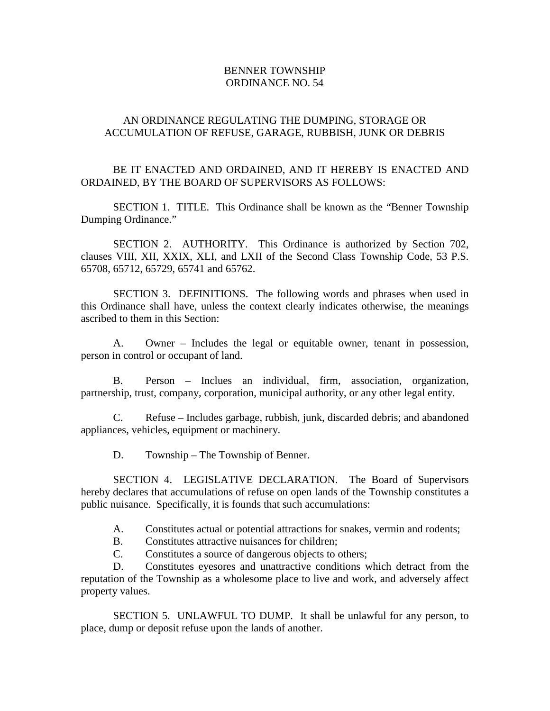## BENNER TOWNSHIP ORDINANCE NO. 54

## AN ORDINANCE REGULATING THE DUMPING, STORAGE OR ACCUMULATION OF REFUSE, GARAGE, RUBBISH, JUNK OR DEBRIS

## BE IT ENACTED AND ORDAINED, AND IT HEREBY IS ENACTED AND ORDAINED, BY THE BOARD OF SUPERVISORS AS FOLLOWS:

SECTION 1. TITLE. This Ordinance shall be known as the "Benner Township Dumping Ordinance."

SECTION 2. AUTHORITY. This Ordinance is authorized by Section 702, clauses VIII, XII, XXIX, XLI, and LXII of the Second Class Township Code, 53 P.S. 65708, 65712, 65729, 65741 and 65762.

SECTION 3. DEFINITIONS. The following words and phrases when used in this Ordinance shall have, unless the context clearly indicates otherwise, the meanings ascribed to them in this Section:

A. Owner – Includes the legal or equitable owner, tenant in possession, person in control or occupant of land.

B. Person – Inclues an individual, firm, association, organization, partnership, trust, company, corporation, municipal authority, or any other legal entity.

C. Refuse – Includes garbage, rubbish, junk, discarded debris; and abandoned appliances, vehicles, equipment or machinery.

D. Township – The Township of Benner.

SECTION 4. LEGISLATIVE DECLARATION. The Board of Supervisors hereby declares that accumulations of refuse on open lands of the Township constitutes a public nuisance. Specifically, it is founds that such accumulations:

- A. Constitutes actual or potential attractions for snakes, vermin and rodents;
- B. Constitutes attractive nuisances for children;
- C. Constitutes a source of dangerous objects to others;

D. Constitutes eyesores and unattractive conditions which detract from the reputation of the Township as a wholesome place to live and work, and adversely affect property values.

SECTION 5. UNLAWFUL TO DUMP. It shall be unlawful for any person, to place, dump or deposit refuse upon the lands of another.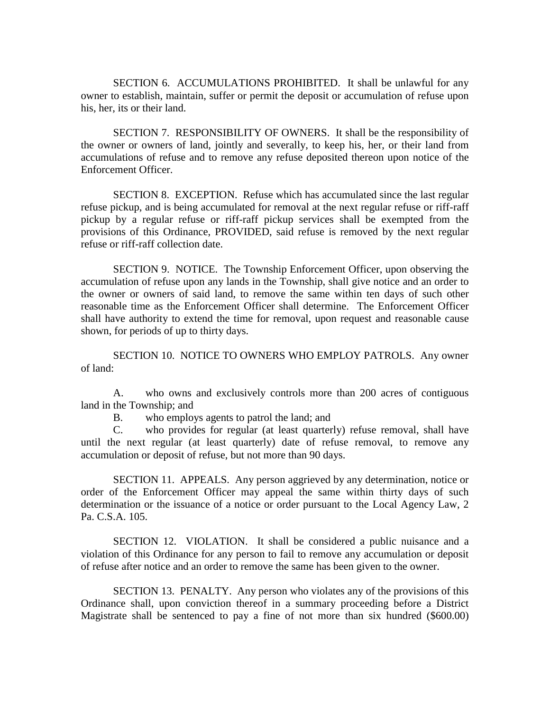SECTION 6. ACCUMULATIONS PROHIBITED. It shall be unlawful for any owner to establish, maintain, suffer or permit the deposit or accumulation of refuse upon his, her, its or their land.

SECTION 7. RESPONSIBILITY OF OWNERS. It shall be the responsibility of the owner or owners of land, jointly and severally, to keep his, her, or their land from accumulations of refuse and to remove any refuse deposited thereon upon notice of the Enforcement Officer.

SECTION 8. EXCEPTION. Refuse which has accumulated since the last regular refuse pickup, and is being accumulated for removal at the next regular refuse or riff-raff pickup by a regular refuse or riff-raff pickup services shall be exempted from the provisions of this Ordinance, PROVIDED, said refuse is removed by the next regular refuse or riff-raff collection date.

SECTION 9. NOTICE. The Township Enforcement Officer, upon observing the accumulation of refuse upon any lands in the Township, shall give notice and an order to the owner or owners of said land, to remove the same within ten days of such other reasonable time as the Enforcement Officer shall determine. The Enforcement Officer shall have authority to extend the time for removal, upon request and reasonable cause shown, for periods of up to thirty days.

SECTION 10. NOTICE TO OWNERS WHO EMPLOY PATROLS. Any owner of land:

A. who owns and exclusively controls more than 200 acres of contiguous land in the Township; and

B. who employs agents to patrol the land; and

C. who provides for regular (at least quarterly) refuse removal, shall have until the next regular (at least quarterly) date of refuse removal, to remove any accumulation or deposit of refuse, but not more than 90 days.

SECTION 11. APPEALS. Any person aggrieved by any determination, notice or order of the Enforcement Officer may appeal the same within thirty days of such determination or the issuance of a notice or order pursuant to the Local Agency Law, 2 Pa. C.S.A. 105.

SECTION 12. VIOLATION. It shall be considered a public nuisance and a violation of this Ordinance for any person to fail to remove any accumulation or deposit of refuse after notice and an order to remove the same has been given to the owner.

SECTION 13. PENALTY. Any person who violates any of the provisions of this Ordinance shall, upon conviction thereof in a summary proceeding before a District Magistrate shall be sentenced to pay a fine of not more than six hundred (\$600.00)